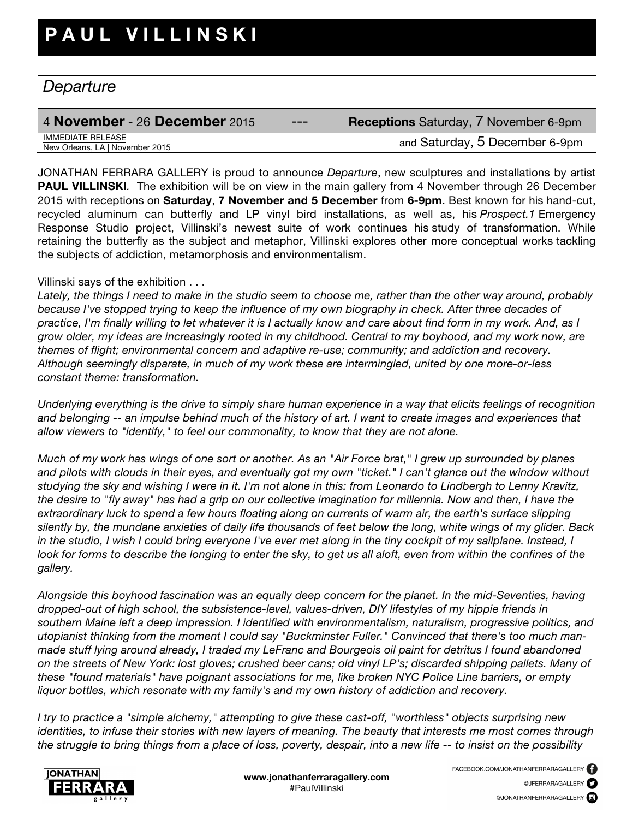## *Departure*

## 4 **November** - 26 **December** 2015 --- **Receptions** Saturday, 7 November 6-9pm **IMMEDIATE RELEASE**<br>New Orleans, LA | November 2015

and Saturday, 5 December 6-9pm

JONATHAN FERRARA GALLERY is proud to announce *Departure*, new sculptures and installations by artist **PAUL VILLINSKI**. The exhibition will be on view in the main gallery from 4 November through 26 December 2015 with receptions on **Saturday**, **7 November and 5 December** from **6-9pm**. Best known for his hand-cut, recycled aluminum can butterfly and LP vinyl bird installations, as well as, his *Prospect.1* Emergency Response Studio project, Villinski's newest suite of work continues his study of transformation. While retaining the butterfly as the subject and metaphor, Villinski explores other more conceptual works tackling the subjects of addiction, metamorphosis and environmentalism.

## Villinski says of the exhibition . . .

*Lately, the things I need to make in the studio seem to choose me, rather than the other way around, probably because I've stopped trying to keep the influence of my own biography in check. After three decades of practice, I'm finally willing to let whatever it is I actually know and care about find form in my work. And, as I grow older, my ideas are increasingly rooted in my childhood. Central to my boyhood, and my work now, are themes of flight; environmental concern and adaptive re-use; community; and addiction and recovery. Although seemingly disparate, in much of my work these are intermingled, united by one more-or-less constant theme: transformation.*

*Underlying everything is the drive to simply share human experience in a way that elicits feelings of recognition and belonging -- an impulse behind much of the history of art. I want to create images and experiences that allow viewers to "identify," to feel our commonality, to know that they are not alone.*

*Much of my work has wings of one sort or another. As an "Air Force brat," I grew up surrounded by planes and pilots with clouds in their eyes, and eventually got my own "ticket." I can't glance out the window without studying the sky and wishing I were in it. I'm not alone in this: from Leonardo to Lindbergh to Lenny Kravitz, the desire to "fly away" has had a grip on our collective imagination for millennia. Now and then, I have the extraordinary luck to spend a few hours floating along on currents of warm air, the earth's surface slipping silently by, the mundane anxieties of daily life thousands of feet below the long, white wings of my glider. Back in the studio, I wish I could bring everyone I've ever met along in the tiny cockpit of my sailplane. Instead, I look for forms to describe the longing to enter the sky, to get us all aloft, even from within the confines of the gallery.* 

*Alongside this boyhood fascination was an equally deep concern for the planet. In the mid-Seventies, having dropped-out of high school, the subsistence-level, values-driven, DIY lifestyles of my hippie friends in southern Maine left a deep impression. I identified with environmentalism, naturalism, progressive politics, and utopianist thinking from the moment I could say "Buckminster Fuller." Convinced that there's too much manmade stuff lying around already, I traded my LeFranc and Bourgeois oil paint for detritus I found abandoned on the streets of New York: lost gloves; crushed beer cans; old vinyl LP's; discarded shipping pallets. Many of these "found materials" have poignant associations for me, like broken NYC Police Line barriers, or empty liquor bottles, which resonate with my family's and my own history of addiction and recovery.*

*I try to practice a "simple alchemy," attempting to give these cast-off, "worthless" objects surprising new identities, to infuse their stories with new layers of meaning. The beauty that interests me most comes through the struggle to bring things from a place of loss, poverty, despair, into a new life -- to insist on the possibility*